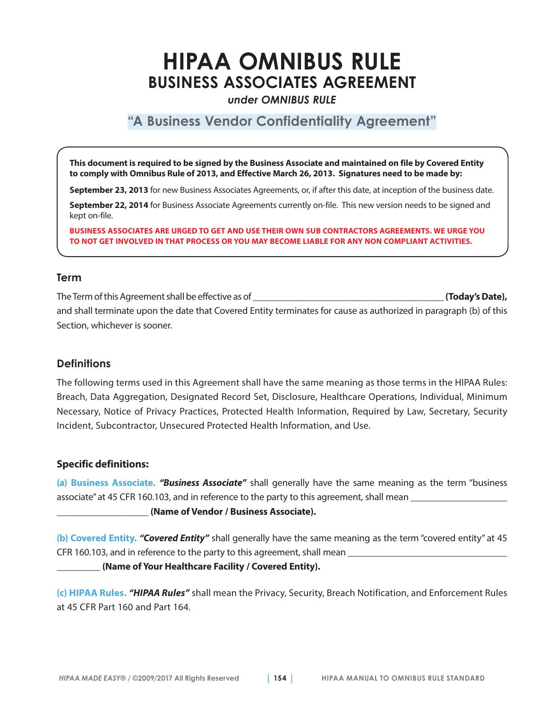# **HIPAA OMNIBUS RULE BUSINESS ASSOCIATES AGREEMENT**

*under OMNIBUS RULE*

## **"A Business Vendor Confidentiality Agreement"**

**This document is required to be signed by the Business Associate and maintained on file by Covered Entity to comply with Omnibus Rule of 2013, and Effective March 26, 2013. Signatures need to be made by:** 

**September 23, 2013** for new Business Associates Agreements, or, if after this date, at inception of the business date.

**September 22, 2014** for Business Associate Agreements currently on-file. This new version needs to be signed and kept on-file.

**BUSINESS ASSOCIATES ARE URGED TO GET AND USE THEIR OWN SUB CONTRACTORS AGREEMENTS. WE URGE YOU TO NOT GET INVOLVED IN THAT PROCESS OR YOU MAY BECOME LIABLE FOR ANY NON COMPLIANT ACTIVITIES.**

#### **Term**

The Term of this Agreement shall be effective as of **which is a controlled to the set of the Collection** (Today's Date), and shall terminate upon the date that Covered Entity terminates for cause as authorized in paragraph (b) of this Section, whichever is sooner.

#### **Definitions**

The following terms used in this Agreement shall have the same meaning as those terms in the HIPAA Rules: Breach, Data Aggregation, Designated Record Set, Disclosure, Healthcare Operations, Individual, Minimum Necessary, Notice of Privacy Practices, Protected Health Information, Required by Law, Secretary, Security Incident, Subcontractor, Unsecured Protected Health Information, and Use.

#### **Specific definitions:**

**(a) Business Associate.** *"Business Associate"* shall generally have the same meaning as the term "business associate" at 45 CFR 160.103, and in reference to the party to this agreement, shall mean

#### \_\_\_\_\_\_\_\_\_\_\_\_\_\_\_\_\_\_\_ **(Name of Vendor / Business Associate).**

**(b) Covered Entity.** *"Covered Entity"* shall generally have the same meaning as the term "covered entity" at 45 CFR 160.103, and in reference to the party to this agreement, shall mean

\_\_\_\_\_\_\_\_\_ **(Name of Your Healthcare Facility / Covered Entity).**

**(c) HIPAA Rules.** *"HIPAA Rules"* shall mean the Privacy, Security, Breach Notification, and Enforcement Rules at 45 CFR Part 160 and Part 164.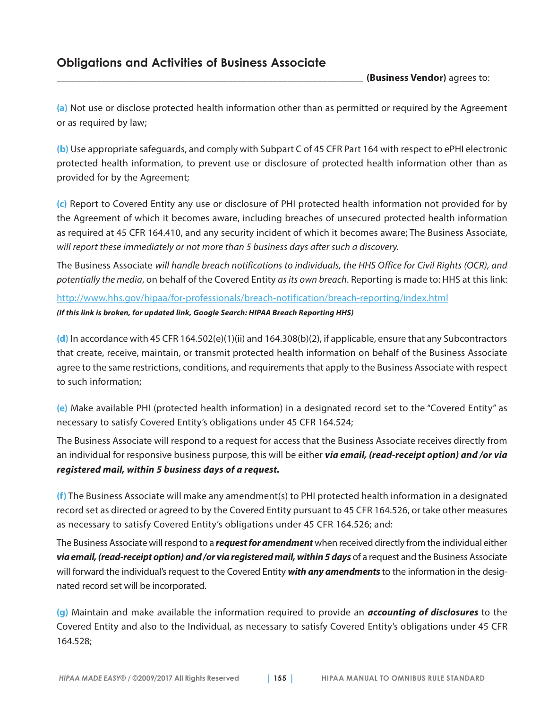\_\_\_\_\_\_\_\_\_\_\_\_\_\_\_\_\_\_\_\_\_\_\_\_\_\_\_\_\_\_\_\_\_\_\_\_\_\_\_\_\_\_\_\_\_\_\_\_\_\_\_\_\_\_\_\_\_\_\_\_\_ **(Business Vendor)** agrees to:

**(a)** Not use or disclose protected health information other than as permitted or required by the Agreement or as required by law;

**(b)** Use appropriate safeguards, and comply with Subpart C of 45 CFR Part 164 with respect to ePHI electronic protected health information, to prevent use or disclosure of protected health information other than as provided for by the Agreement;

**(c)** Report to Covered Entity any use or disclosure of PHI protected health information not provided for by the Agreement of which it becomes aware, including breaches of unsecured protected health information as required at 45 CFR 164.410, and any security incident of which it becomes aware; The Business Associate, *will report these immediately or not more than 5 business days after such a discovery.* 

The Business Associate *will handle breach notifications to individuals, the HHS Office for Civil Rights (OCR), and potentially the media*, on behalf of the Covered Entity *as its own breach*. Reporting is made to: HHS at this link:

<http://www.hhs.gov/hipaa/for-professionals/breach-notification/breach-reporting/index.html> *(If this link is broken, for updated link, Google Search: HIPAA Breach Reporting HHS)*

**(d)** In accordance with 45 CFR 164.502(e)(1)(ii) and 164.308(b)(2), if applicable, ensure that any Subcontractors that create, receive, maintain, or transmit protected health information on behalf of the Business Associate agree to the same restrictions, conditions, and requirements that apply to the Business Associate with respect to such information;

**(e)** Make available PHI (protected health information) in a designated record set to the "Covered Entity" as necessary to satisfy Covered Entity's obligations under 45 CFR 164.524;

The Business Associate will respond to a request for access that the Business Associate receives directly from an individual for responsive business purpose, this will be either *via email, (read-receipt option) and /or via registered mail, within 5 business days of a request.*

**(f)** The Business Associate will make any amendment(s) to PHI protected health information in a designated record set as directed or agreed to by the Covered Entity pursuant to 45 CFR 164.526, or take other measures as necessary to satisfy Covered Entity's obligations under 45 CFR 164.526; and:

The Business Associate will respond to a *request for amendment* when received directly from the individual either *via email, (read-receipt option) and /or via registered mail, within 5 days* of a request and the Business Associate will forward the individual's request to the Covered Entity *with any amendments* to the information in the designated record set will be incorporated.

**(g)** Maintain and make available the information required to provide an *accounting of disclosures* to the Covered Entity and also to the Individual, as necessary to satisfy Covered Entity's obligations under 45 CFR 164.528;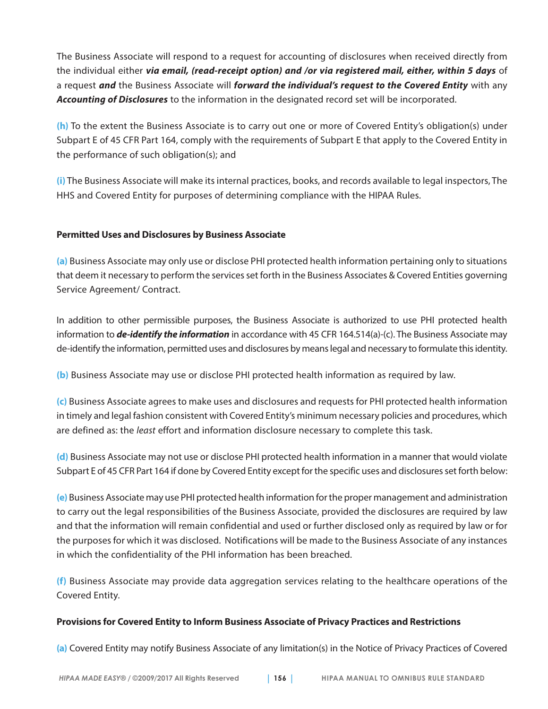The Business Associate will respond to a request for accounting of disclosures when received directly from the individual either *via email, (read-receipt option) and /or via registered mail, either, within 5 days* of a request *and* the Business Associate will *forward the individual's request to the Covered Entity* with any *Accounting of Disclosures* to the information in the designated record set will be incorporated.

**(h)** To the extent the Business Associate is to carry out one or more of Covered Entity's obligation(s) under Subpart E of 45 CFR Part 164, comply with the requirements of Subpart E that apply to the Covered Entity in the performance of such obligation(s); and

**(i)** The Business Associate will make its internal practices, books, and records available to legal inspectors, The HHS and Covered Entity for purposes of determining compliance with the HIPAA Rules.

#### **Permitted Uses and Disclosures by Business Associate**

**(a)** Business Associate may only use or disclose PHI protected health information pertaining only to situations that deem it necessary to perform the services set forth in the Business Associates & Covered Entities governing Service Agreement/ Contract.

In addition to other permissible purposes, the Business Associate is authorized to use PHI protected health information to *de-identify the information* in accordance with 45 CFR 164.514(a)-(c). The Business Associate may de-identify the information, permitted uses and disclosures by means legal and necessary to formulate this identity.

**(b)** Business Associate may use or disclose PHI protected health information as required by law.

**(c)** Business Associate agrees to make uses and disclosures and requests for PHI protected health information in timely and legal fashion consistent with Covered Entity's minimum necessary policies and procedures, which are defined as: the *least* effort and information disclosure necessary to complete this task.

**(d)** Business Associate may not use or disclose PHI protected health information in a manner that would violate Subpart E of 45 CFR Part 164 if done by Covered Entity except for the specific uses and disclosures set forth below:

**(e)** Business Associate may use PHI protected health information for the proper management and administration to carry out the legal responsibilities of the Business Associate, provided the disclosures are required by law and that the information will remain confidential and used or further disclosed only as required by law or for the purposes for which it was disclosed. Notifications will be made to the Business Associate of any instances in which the confidentiality of the PHI information has been breached.

**(f)** Business Associate may provide data aggregation services relating to the healthcare operations of the Covered Entity.

#### **Provisions for Covered Entity to Inform Business Associate of Privacy Practices and Restrictions**

**(a)** Covered Entity may notify Business Associate of any limitation(s) in the Notice of Privacy Practices of Covered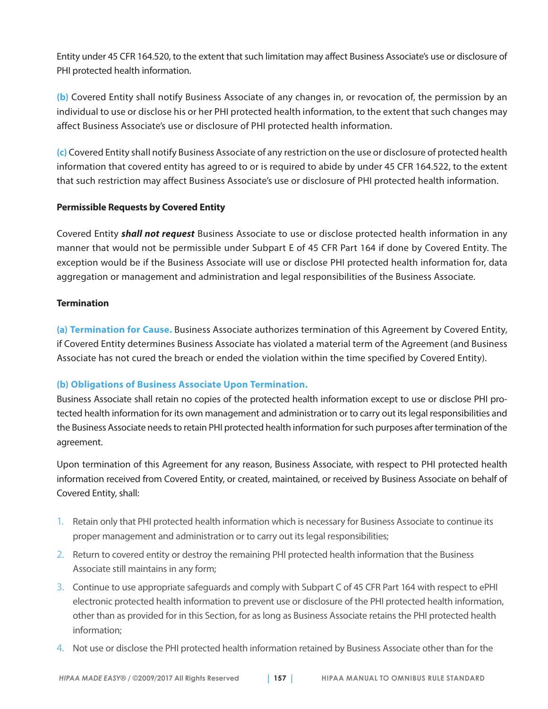Entity under 45 CFR 164.520, to the extent that such limitation may affect Business Associate's use or disclosure of PHI protected health information.

**(b)** Covered Entity shall notify Business Associate of any changes in, or revocation of, the permission by an individual to use or disclose his or her PHI protected health information, to the extent that such changes may affect Business Associate's use or disclosure of PHI protected health information.

**(c)** Covered Entity shall notify Business Associate of any restriction on the use or disclosure of protected health information that covered entity has agreed to or is required to abide by under 45 CFR 164.522, to the extent that such restriction may affect Business Associate's use or disclosure of PHI protected health information.

#### **Permissible Requests by Covered Entity**

Covered Entity *shall not request* Business Associate to use or disclose protected health information in any manner that would not be permissible under Subpart E of 45 CFR Part 164 if done by Covered Entity. The exception would be if the Business Associate will use or disclose PHI protected health information for, data aggregation or management and administration and legal responsibilities of the Business Associate.

#### **Termination**

**(a) Termination for Cause.** Business Associate authorizes termination of this Agreement by Covered Entity, if Covered Entity determines Business Associate has violated a material term of the Agreement (and Business Associate has not cured the breach or ended the violation within the time specified by Covered Entity).

#### **(b) Obligations of Business Associate Upon Termination.**

Business Associate shall retain no copies of the protected health information except to use or disclose PHI protected health information for its own management and administration or to carry out its legal responsibilities and the Business Associate needs to retain PHI protected health information for such purposes after termination of the agreement.

Upon termination of this Agreement for any reason, Business Associate, with respect to PHI protected health information received from Covered Entity, or created, maintained, or received by Business Associate on behalf of Covered Entity, shall:

- 1. Retain only that PHI protected health information which is necessary for Business Associate to continue its proper management and administration or to carry out its legal responsibilities;
- 2. Return to covered entity or destroy the remaining PHI protected health information that the Business Associate still maintains in any form;
- 3. Continue to use appropriate safeguards and comply with Subpart C of 45 CFR Part 164 with respect to ePHI electronic protected health information to prevent use or disclosure of the PHI protected health information, other than as provided for in this Section, for as long as Business Associate retains the PHI protected health information;
- 4. Not use or disclose the PHI protected health information retained by Business Associate other than for the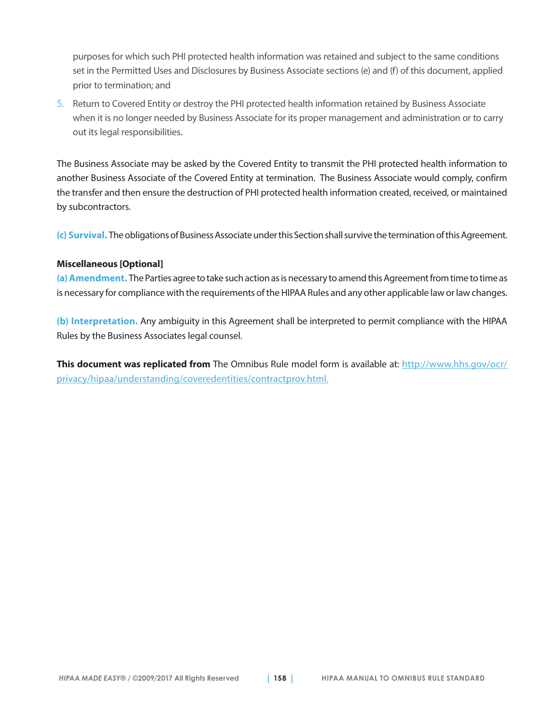purposes for which such PHI protected health information was retained and subject to the same conditions set in the Permitted Uses and Disclosures by Business Associate sections (e) and (f) of this document, applied prior to termination; and

5. Return to Covered Entity or destroy the PHI protected health information retained by Business Associate when it is no longer needed by Business Associate for its proper management and administration or to carry out its legal responsibilities.

The Business Associate may be asked by the Covered Entity to transmit the PHI protected health information to another Business Associate of the Covered Entity at termination. The Business Associate would comply, confirm the transfer and then ensure the destruction of PHI protected health information created, received, or maintained by subcontractors.

**(c) Survival.** The obligations of Business Associate under this Section shall survive the termination of this Agreement.

#### **Miscellaneous [Optional]**

**(a) Amendment.** The Parties agree to take such action as is necessary to amend this Agreement from time to time as is necessary for compliance with the requirements of the HIPAA Rules and any other applicable law or law changes.

**(b) Interpretation.** Any ambiguity in this Agreement shall be interpreted to permit compliance with the HIPAA Rules by the Business Associates legal counsel.

**This document was replicated from** The Omnibus Rule model form is available at: [http://www.hhs.gov/ocr/](http://www.hhs.gov/ocr/privacy/hipaa/understanding/coveredentities/contractprov.html) [privacy/hipaa/understanding/coveredentities/contractprov.html.](http://www.hhs.gov/ocr/privacy/hipaa/understanding/coveredentities/contractprov.html)